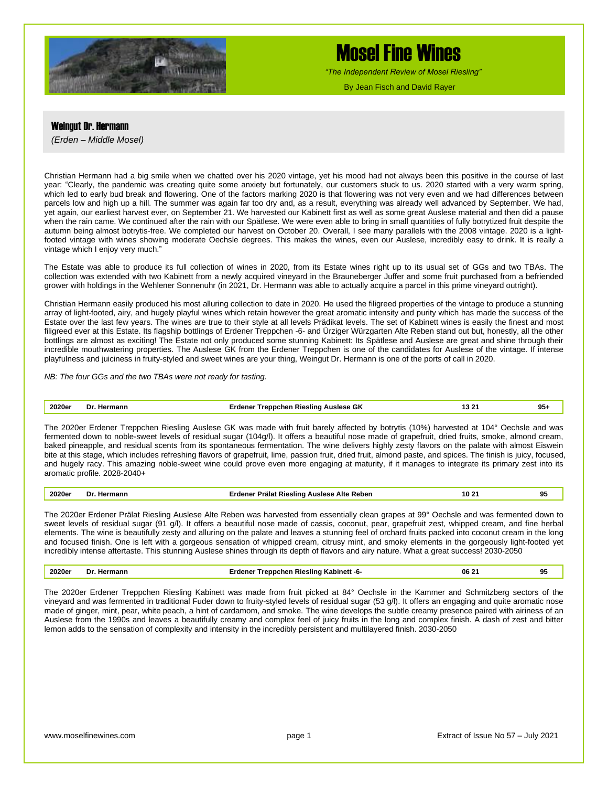

*"The Independent Review of Mosel Riesling"*

By Jean Fisch and David Rayer

#### Weingut Dr. Hermann *(Erden – Middle Mosel)*

Christian Hermann had a big smile when we chatted over his 2020 vintage, yet his mood had not always been this positive in the course of last year: "Clearly, the pandemic was creating quite some anxiety but fortunately, our customers stuck to us. 2020 started with a very warm spring, which led to early bud break and flowering. One of the factors marking 2020 is that flowering was not very even and we had differences between parcels low and high up a hill. The summer was again far too dry and, as a result, everything was already well advanced by September. We had, yet again, our earliest harvest ever, on September 21. We harvested our Kabinett first as well as some great Auslese material and then did a pause when the rain came. We continued after the rain with our Spätlese. We were even able to bring in small quantities of fully botrytized fruit despite the autumn being almost botrytis-free. We completed our harvest on October 20. Overall, I see many parallels with the 2008 vintage. 2020 is a lightfooted vintage with wines showing moderate Oechsle degrees. This makes the wines, even our Auslese, incredibly easy to drink. It is really a vintage which I enjoy very much."

The Estate was able to produce its full collection of wines in 2020, from its Estate wines right up to its usual set of GGs and two TBAs. The collection was extended with two Kabinett from a newly acquired vineyard in the Brauneberger Juffer and some fruit purchased from a befriended grower with holdings in the Wehlener Sonnenuhr (in 2021, Dr. Hermann was able to actually acquire a parcel in this prime vineyard outright).

Christian Hermann easily produced his most alluring collection to date in 2020. He used the filigreed properties of the vintage to produce a stunning array of light-footed, airy, and hugely playful wines which retain however the great aromatic intensity and purity which has made the success of the Estate over the last few years. The wines are true to their style at all levels Prädikat levels. The set of Kabinett wines is easily the finest and most filigreed ever at this Estate. Its flagship bottlings of Erdener Treppchen -6- and Ürziger Würzgarten Alte Reben stand out but, honestly, all the other bottlings are almost as exciting! The Estate not only produced some stunning Kabinett: Its Spätlese and Auslese are great and shine through their incredible mouthwatering properties. The Auslese GK from the Erdener Treppchen is one of the candidates for Auslese of the vintage. If intense playfulness and juiciness in fruity-styled and sweet wines are your thing, Weingut Dr. Hermann is one of the ports of call in 2020.

*NB: The four GGs and the two TBAs were not ready for tasting.*

| 2020er | Hermann<br>Dr | Auslese GK<br>Treppchen Rieslina<br>dener | 2.9.94 | 95- |
|--------|---------------|-------------------------------------------|--------|-----|
|--------|---------------|-------------------------------------------|--------|-----|

The 2020er Erdener Treppchen Riesling Auslese GK was made with fruit barely affected by botrytis (10%) harvested at 104° Oechsle and was fermented down to noble-sweet levels of residual sugar (104g/l). It offers a beautiful nose made of grapefruit, dried fruits, smoke, almond cream, baked pineapple, and residual scents from its spontaneous fermentation. The wine delivers highly zesty flavors on the palate with almost Eiswein bite at this stage, which includes refreshing flavors of grapefruit, lime, passion fruit, dried fruit, almond paste, and spices. The finish is juicy, focused, and hugely racy. This amazing noble-sweet wine could prove even more engaging at maturity, if it manages to integrate its primary zest into its aromatic profile. 2028-2040+

**2020er Dr. Hermann Erdener Prälat Riesling Auslese Alte Reben 10 21 95** The 2020er Erdener Prälat Riesling Auslese Alte Reben was harvested from essentially clean grapes at 99° Oechsle and was fermented down to

sweet levels of residual sugar (91 g/l). It offers a beautiful nose made of cassis, coconut, pear, grapefruit zest, whipped cream, and fine herbal elements. The wine is beautifully zesty and alluring on the palate and leaves a stunning feel of orchard fruits packed into coconut cream in the long and focused finish. One is left with a gorgeous sensation of whipped cream, citrusy mint, and smoky elements in the gorgeously light-footed yet incredibly intense aftertaste. This stunning Auslese shines through its depth of flavors and airy nature. What a great success! 2030-2050

| 2020er | Dι<br>mann | suno | 06<br>. | 95 |
|--------|------------|------|---------|----|
|        |            |      |         |    |

The 2020er Erdener Treppchen Riesling Kabinett was made from fruit picked at 84° Oechsle in the Kammer and Schmitzberg sectors of the vineyard and was fermented in traditional Fuder down to fruity-styled levels of residual sugar (53 g/l). It offers an engaging and quite aromatic nose made of ginger, mint, pear, white peach, a hint of cardamom, and smoke. The wine develops the subtle creamy presence paired with airiness of an Auslese from the 1990s and leaves a beautifully creamy and complex feel of juicy fruits in the long and complex finish. A dash of zest and bitter lemon adds to the sensation of complexity and intensity in the incredibly persistent and multilayered finish. 2030-2050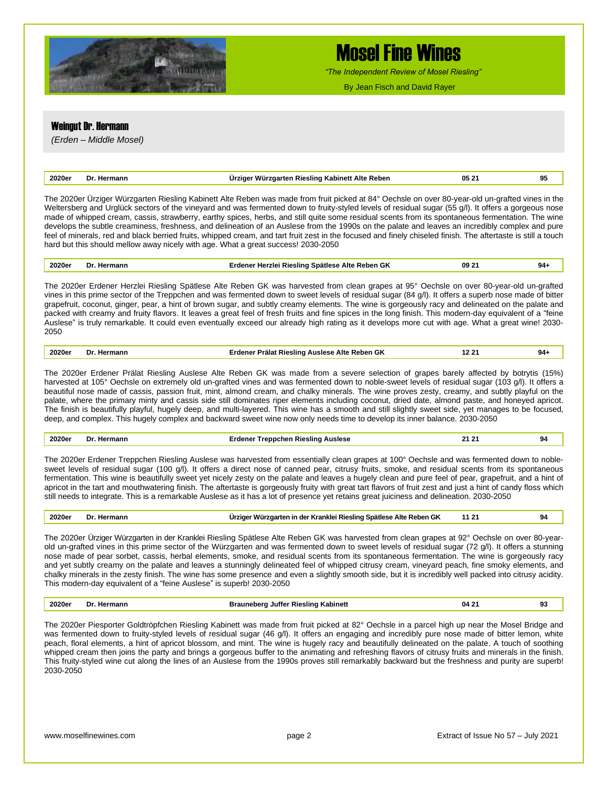

*"The Independent Review of Mosel Riesling"*

By Jean Fisch and David Rayer

### Weingut Dr. Hermann

*(Erden – Middle Mosel)*

| 2020er                                                                                                                                                                                                                                                                                                                                                                                                                                                                                                                                                                                                                                                                                                                                                                 | Dr. Hermann | Ürziger Würzgarten Riesling Kabinett Alte Reben                                                                                                                                                                                                                                                                                                                                                                                                                                                                                                                                                                                                                                                                                                                                                                                                                                        | 05 21 | 95     |  |
|------------------------------------------------------------------------------------------------------------------------------------------------------------------------------------------------------------------------------------------------------------------------------------------------------------------------------------------------------------------------------------------------------------------------------------------------------------------------------------------------------------------------------------------------------------------------------------------------------------------------------------------------------------------------------------------------------------------------------------------------------------------------|-------------|----------------------------------------------------------------------------------------------------------------------------------------------------------------------------------------------------------------------------------------------------------------------------------------------------------------------------------------------------------------------------------------------------------------------------------------------------------------------------------------------------------------------------------------------------------------------------------------------------------------------------------------------------------------------------------------------------------------------------------------------------------------------------------------------------------------------------------------------------------------------------------------|-------|--------|--|
|                                                                                                                                                                                                                                                                                                                                                                                                                                                                                                                                                                                                                                                                                                                                                                        |             | The 2020er Urziger Würzgarten Riesling Kabinett Alte Reben was made from fruit picked at 84° Oechsle on over 80-year-old un-grafted vines in the<br>Weltersberg and Urglück sectors of the vineyard and was fermented down to fruity-styled levels of residual sugar (55 g/l). It offers a gorgeous nose<br>made of whipped cream, cassis, strawberry, earthy spices, herbs, and still quite some residual scents from its spontaneous fermentation. The wine<br>develops the subtle creaminess, freshness, and delineation of an Auslese from the 1990s on the palate and leaves an incredibly complex and pure<br>feel of minerals, red and black berried fruits, whipped cream, and tart fruit zest in the focused and finely chiseled finish. The aftertaste is still a touch<br>hard but this should mellow away nicely with age. What a great success! 2030-2050                 |       |        |  |
| 2020er                                                                                                                                                                                                                                                                                                                                                                                                                                                                                                                                                                                                                                                                                                                                                                 | Dr. Hermann | Erdener Herzlei Riesling Spätlese Alte Reben GK                                                                                                                                                                                                                                                                                                                                                                                                                                                                                                                                                                                                                                                                                                                                                                                                                                        | 09 21 | $94 +$ |  |
| 2050                                                                                                                                                                                                                                                                                                                                                                                                                                                                                                                                                                                                                                                                                                                                                                   |             | The 2020er Erdener Herzlei Riesling Spätlese Alte Reben GK was harvested from clean grapes at 95° Oechsle on over 80-year-old un-grafted<br>vines in this prime sector of the Treppchen and was fermented down to sweet levels of residual sugar (84 g/l). It offers a superb nose made of bitter<br>grapefruit, coconut, ginger, pear, a hint of brown sugar, and subtly creamy elements. The wine is gorgeously racy and delineated on the palate and<br>packed with creamy and fruity flavors. It leaves a great feel of fresh fruits and fine spices in the long finish. This modern-day equivalent of a "feine<br>Auslese" is truly remarkable. It could even eventually exceed our already high rating as it develops more cut with age. What a great wine! 2030-                                                                                                                |       |        |  |
| 2020er                                                                                                                                                                                                                                                                                                                                                                                                                                                                                                                                                                                                                                                                                                                                                                 | Dr. Hermann | Erdener Prälat Riesling Auslese Alte Reben GK                                                                                                                                                                                                                                                                                                                                                                                                                                                                                                                                                                                                                                                                                                                                                                                                                                          | 12 21 | $94+$  |  |
|                                                                                                                                                                                                                                                                                                                                                                                                                                                                                                                                                                                                                                                                                                                                                                        |             | The 2020er Erdener Prälat Riesling Auslese Alte Reben GK was made from a severe selection of grapes barely affected by botrytis (15%)<br>harvested at 105° Oechsle on extremely old un-grafted vines and was fermented down to noble-sweet levels of residual sugar (103 g/l). It offers a<br>beautiful nose made of cassis, passion fruit, mint, almond cream, and chalky minerals. The wine proves zesty, creamy, and subtly playful on the<br>palate, where the primary minty and cassis side still dominates riper elements including coconut, dried date, almond paste, and honeyed apricot.<br>The finish is beautifully playful, hugely deep, and multi-layered. This wine has a smooth and still slightly sweet side, yet manages to be focused,<br>deep, and complex. This hugely complex and backward sweet wine now only needs time to develop its inner balance. 2030-2050 |       |        |  |
| 2020er                                                                                                                                                                                                                                                                                                                                                                                                                                                                                                                                                                                                                                                                                                                                                                 | Dr. Hermann | <b>Erdener Treppchen Riesling Auslese</b>                                                                                                                                                                                                                                                                                                                                                                                                                                                                                                                                                                                                                                                                                                                                                                                                                                              | 21 21 | 94     |  |
| The 2020er Erdener Treppchen Riesling Auslese was harvested from essentially clean grapes at 100° Oechsle and was fermented down to noble-<br>sweet levels of residual sugar (100 g/l). It offers a direct nose of canned pear, citrusy fruits, smoke, and residual scents from its spontaneous<br>fermentation. This wine is beautifully sweet yet nicely zesty on the palate and leaves a hugely clean and pure feel of pear, grapefruit, and a hint of<br>apricot in the tart and mouthwatering finish. The aftertaste is gorgeously fruity with great tart flavors of fruit zest and just a hint of candy floss which<br>still needs to integrate. This is a remarkable Auslese as it has a lot of presence yet retains great juiciness and delineation. 2030-2050 |             |                                                                                                                                                                                                                                                                                                                                                                                                                                                                                                                                                                                                                                                                                                                                                                                                                                                                                        |       |        |  |
| 2020er                                                                                                                                                                                                                                                                                                                                                                                                                                                                                                                                                                                                                                                                                                                                                                 | Dr. Hermann | Ürziger Würzgarten in der Kranklei Riesling Spätlese Alte Reben GK                                                                                                                                                                                                                                                                                                                                                                                                                                                                                                                                                                                                                                                                                                                                                                                                                     | 11 21 | 94     |  |
|                                                                                                                                                                                                                                                                                                                                                                                                                                                                                                                                                                                                                                                                                                                                                                        |             | The 2020er Ürziger Würzgarten in der Kranklei Riesling Spätlese Alte Reben GK was harvested from clean grapes at 92° Oechsle on over 80-year-<br>old un-grafted vines in this prime sector of the Würzgarten and was fermented down to sweet levels of residual sugar (72 g/l). It offers a stunning<br>nose made of pear sorbet, cassis, herbal elements, smoke, and residual scents from its spontaneous fermentation. The wine is gorgeously racy<br>and yet subtly creamy on the palate and leaves a stunningly delineated feel of whipped citrusy cream, vineyard peach, fine smoky elements, and<br>chalky minerals in the zesty finish. The wine has some presence and even a slightly smooth side, but it is incredibly well packed into citrusy acidity.<br>This modern-day equivalent of a "feine Auslese" is superb! 2030-2050                                              |       |        |  |
| 2020er                                                                                                                                                                                                                                                                                                                                                                                                                                                                                                                                                                                                                                                                                                                                                                 | Dr. Hermann | <b>Brauneberg Juffer Riesling Kabinett</b>                                                                                                                                                                                                                                                                                                                                                                                                                                                                                                                                                                                                                                                                                                                                                                                                                                             | 04 21 | 93     |  |
| 2030-2050                                                                                                                                                                                                                                                                                                                                                                                                                                                                                                                                                                                                                                                                                                                                                              |             | The 2020er Piesporter Goldtröpfchen Riesling Kabinett was made from fruit picked at 82° Oechsle in a parcel high up near the Mosel Bridge and<br>was fermented down to fruity-styled levels of residual sugar (46 g/l). It offers an engaging and incredibly pure nose made of bitter lemon, white<br>peach, floral elements, a hint of apricot blossom, and mint. The wine is hugely racy and beautifully delineated on the palate. A touch of soothing<br>whipped cream then joins the party and brings a gorgeous buffer to the animating and refreshing flavors of citrusy fruits and minerals in the finish.<br>This fruity-styled wine cut along the lines of an Auslese from the 1990s proves still remarkably backward but the freshness and purity are superb!                                                                                                                |       |        |  |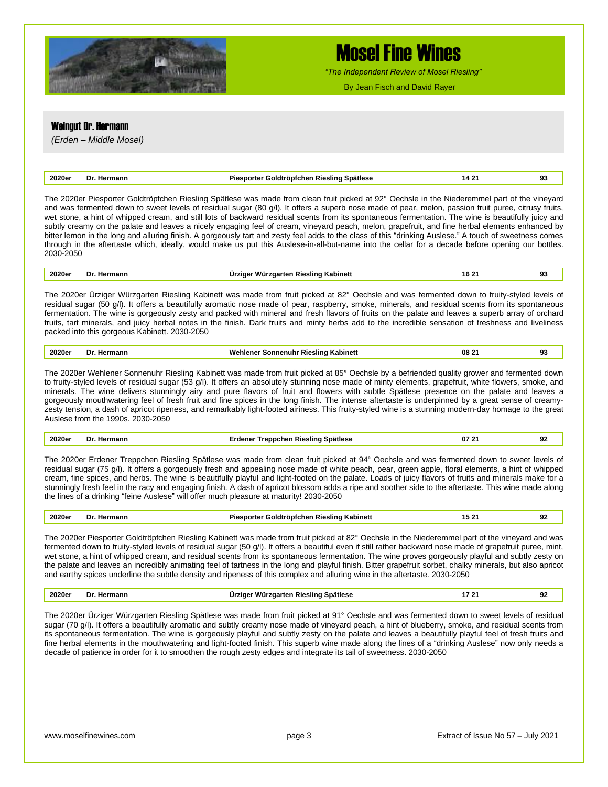

*"The Independent Review of Mosel Riesling"*

By Jean Fisch and David Rayer

### Weingut Dr. Hermann

*(Erden – Middle Mosel)*

| The 2020er Piesporter Goldtröpfchen Riesling Spätlese was made from clean fruit picked at 92° Oechsle in the Niederemmel part of the vineyard<br>and was fermented down to sweet levels of residual sugar (80 g/l). It offers a superb nose made of pear, melon, passion fruit puree, citrusy fruits,<br>wet stone, a hint of whipped cream, and still lots of backward residual scents from its spontaneous fermentation. The wine is beautifully juicy and<br>subtly creamy on the palate and leaves a nicely engaging feel of cream, vineyard peach, melon, grapefruit, and fine herbal elements enhanced by<br>bitter lemon in the long and alluring finish. A gorgeously tart and zesty feel adds to the class of this "drinking Auslese." A touch of sweetness comes<br>through in the aftertaste which, ideally, would make us put this Auslese-in-all-but-name into the cellar for a decade before opening our bottles.<br>2030-2050<br>Ürziger Würzgarten Riesling Kabinett<br>2020er<br>Dr. Hermann<br>The 2020er Ürziger Würzgarten Riesling Kabinett was made from fruit picked at 82° Oechsle and was fermented down to fruity-styled levels of<br>residual sugar (50 g/l). It offers a beautifully aromatic nose made of pear, raspberry, smoke, minerals, and residual scents from its spontaneous<br>fermentation. The wine is gorgeously zesty and packed with mineral and fresh flavors of fruits on the palate and leaves a superb array of orchard<br>fruits, tart minerals, and juicy herbal notes in the finish. Dark fruits and minty herbs add to the incredible sensation of freshness and liveliness<br>packed into this gorgeous Kabinett. 2030-2050<br>2020er<br>Dr. Hermann<br>Wehlener Sonnenuhr Riesling Kabinett<br>The 2020er Wehlener Sonnenuhr Riesling Kabinett was made from fruit picked at 85° Oechsle by a befriended quality grower and fermented down<br>to fruity-styled levels of residual sugar (53 g/l). It offers an absolutely stunning nose made of minty elements, grapefruit, white flowers, smoke, and<br>minerals. The wine delivers stunningly airy and pure flavors of fruit and flowers with subtle Spätlese presence on the palate and leaves a<br>gorgeously mouthwatering feel of fresh fruit and fine spices in the long finish. The intense aftertaste is underpinned by a great sense of creamy-<br>zesty tension, a dash of apricot ripeness, and remarkably light-footed airiness. This fruity-styled wine is a stunning modern-day homage to the great | 16 21<br>93<br>08 21<br>93 |
|-------------------------------------------------------------------------------------------------------------------------------------------------------------------------------------------------------------------------------------------------------------------------------------------------------------------------------------------------------------------------------------------------------------------------------------------------------------------------------------------------------------------------------------------------------------------------------------------------------------------------------------------------------------------------------------------------------------------------------------------------------------------------------------------------------------------------------------------------------------------------------------------------------------------------------------------------------------------------------------------------------------------------------------------------------------------------------------------------------------------------------------------------------------------------------------------------------------------------------------------------------------------------------------------------------------------------------------------------------------------------------------------------------------------------------------------------------------------------------------------------------------------------------------------------------------------------------------------------------------------------------------------------------------------------------------------------------------------------------------------------------------------------------------------------------------------------------------------------------------------------------------------------------------------------------------------------------------------------------------------------------------------------------------------------------------------------------------------------------------------------------------------------------------------------------------------------------------------------------------------------------------------------------------------------------------------------------------------------------------------------------------------------------------------------------------------------------------------------------------------------------------------------|----------------------------|
|                                                                                                                                                                                                                                                                                                                                                                                                                                                                                                                                                                                                                                                                                                                                                                                                                                                                                                                                                                                                                                                                                                                                                                                                                                                                                                                                                                                                                                                                                                                                                                                                                                                                                                                                                                                                                                                                                                                                                                                                                                                                                                                                                                                                                                                                                                                                                                                                                                                                                                                         |                            |
|                                                                                                                                                                                                                                                                                                                                                                                                                                                                                                                                                                                                                                                                                                                                                                                                                                                                                                                                                                                                                                                                                                                                                                                                                                                                                                                                                                                                                                                                                                                                                                                                                                                                                                                                                                                                                                                                                                                                                                                                                                                                                                                                                                                                                                                                                                                                                                                                                                                                                                                         |                            |
|                                                                                                                                                                                                                                                                                                                                                                                                                                                                                                                                                                                                                                                                                                                                                                                                                                                                                                                                                                                                                                                                                                                                                                                                                                                                                                                                                                                                                                                                                                                                                                                                                                                                                                                                                                                                                                                                                                                                                                                                                                                                                                                                                                                                                                                                                                                                                                                                                                                                                                                         |                            |
|                                                                                                                                                                                                                                                                                                                                                                                                                                                                                                                                                                                                                                                                                                                                                                                                                                                                                                                                                                                                                                                                                                                                                                                                                                                                                                                                                                                                                                                                                                                                                                                                                                                                                                                                                                                                                                                                                                                                                                                                                                                                                                                                                                                                                                                                                                                                                                                                                                                                                                                         |                            |
| Auslese from the 1990s. 2030-2050<br>2020er<br>Dr. Hermann<br>Erdener Treppchen Riesling Spätlese                                                                                                                                                                                                                                                                                                                                                                                                                                                                                                                                                                                                                                                                                                                                                                                                                                                                                                                                                                                                                                                                                                                                                                                                                                                                                                                                                                                                                                                                                                                                                                                                                                                                                                                                                                                                                                                                                                                                                                                                                                                                                                                                                                                                                                                                                                                                                                                                                       | 07 21<br>92                |
| The 2020er Erdener Treppchen Riesling Spätlese was made from clean fruit picked at 94° Oechsle and was fermented down to sweet levels of<br>residual sugar (75 g/l). It offers a gorgeously fresh and appealing nose made of white peach, pear, green apple, floral elements, a hint of whipped<br>cream, fine spices, and herbs. The wine is beautifully playful and light-footed on the palate. Loads of juicy flavors of fruits and minerals make for a<br>stunningly fresh feel in the racy and engaging finish. A dash of apricot blossom adds a ripe and soother side to the aftertaste. This wine made along<br>the lines of a drinking "feine Auslese" will offer much pleasure at maturity! 2030-2050                                                                                                                                                                                                                                                                                                                                                                                                                                                                                                                                                                                                                                                                                                                                                                                                                                                                                                                                                                                                                                                                                                                                                                                                                                                                                                                                                                                                                                                                                                                                                                                                                                                                                                                                                                                                          |                            |
| Dr. Hermann<br>2020er<br>Piesporter Goldtröpfchen Riesling Kabinett                                                                                                                                                                                                                                                                                                                                                                                                                                                                                                                                                                                                                                                                                                                                                                                                                                                                                                                                                                                                                                                                                                                                                                                                                                                                                                                                                                                                                                                                                                                                                                                                                                                                                                                                                                                                                                                                                                                                                                                                                                                                                                                                                                                                                                                                                                                                                                                                                                                     | 15 21<br>92                |
| The 2020er Piesporter Goldtröpfchen Riesling Kabinett was made from fruit picked at 82° Oechsle in the Niederemmel part of the vineyard and was                                                                                                                                                                                                                                                                                                                                                                                                                                                                                                                                                                                                                                                                                                                                                                                                                                                                                                                                                                                                                                                                                                                                                                                                                                                                                                                                                                                                                                                                                                                                                                                                                                                                                                                                                                                                                                                                                                                                                                                                                                                                                                                                                                                                                                                                                                                                                                         |                            |
| fermented down to fruity-styled levels of residual sugar (50 g/l). It offers a beautiful even if still rather backward nose made of grapefruit puree, mint,<br>wet stone, a hint of whipped cream, and residual scents from its spontaneous fermentation. The wine proves gorgeously playful and subtly zesty on<br>the palate and leaves an incredibly animating feel of tartness in the long and playful finish. Bitter grapefruit sorbet, chalky minerals, but also apricot<br>and earthy spices underline the subtle density and ripeness of this complex and alluring wine in the aftertaste. 2030-2050<br>2020er<br>Dr. Hermann<br>Ürziger Würzgarten Riesling Spätlese                                                                                                                                                                                                                                                                                                                                                                                                                                                                                                                                                                                                                                                                                                                                                                                                                                                                                                                                                                                                                                                                                                                                                                                                                                                                                                                                                                                                                                                                                                                                                                                                                                                                                                                                                                                                                                           | 17 21<br>92                |

decade of patience in order for it to smoothen the rough zesty edges and integrate its tail of sweetness. 2030-2050